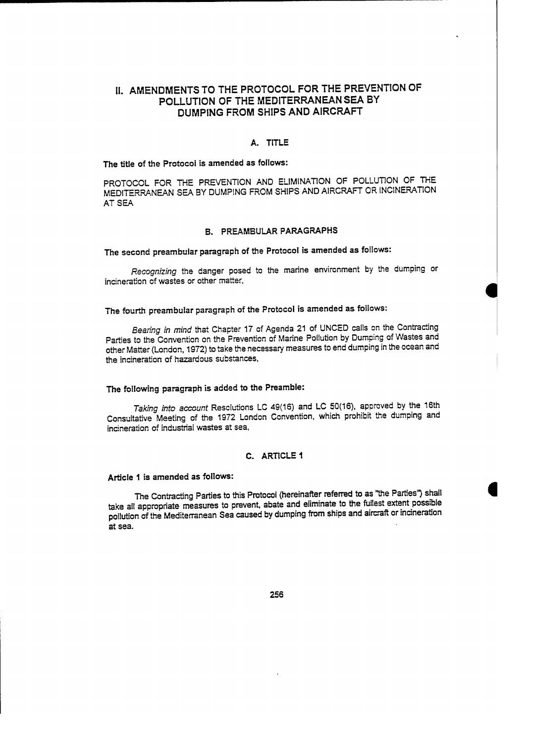# 11. AMENDMENTS TO THE PROTOCOL FOR THE PREVENTION OF POLLUTION OF THE MEDITERRANEANSEA BY DUMPING FROM SHIPS AND AIRCRAFT

#### A. TITLE

### The title of the Protocol is amended as follows:

PROTOCOL FOR THE PREVENTION AND ELIMINATION OF POLLUTION OF THE MEDITERRANEAN SEA BY DUMPING FROM SHIPS ANO AIRCRAFT OR INC1NERATION ATSEA

#### B. PREAMBULAR PARAGRAPHS

# The seeond preambular paragraph of the Protocol is amended as follows:

Recognizing the danger posed to the marine environment by the dumping or ineineration of wastes or other matter,

## The fourth preambular paragraph of the Protoeol is amended as follows:

Bearing in mind that Chapter 17 of Agenda 21 of UNCED calls on the Contracting Parties to the Convention on the Prevention of Marine Pollution by Dumping of Wastes and other Matter (London, 1972) to take the necessary measures to end dumping in the ocean and the incineratian of hazardous substances,

## The following paragraph is added to the Preamble:

Taking into account Resolutions LC 49(16) and LC 50(16), approved by the 16th Consultative Meeting of the 1972 Landon Convention. which prohibit the dumping and incineration of industrial wastes at sea.

# C. ARTlCLE 1

# Article 1 is amended as follows:

The Contracting Parties to this Protocol (hereinafter referred to as "the Parties") shall take al! appropriate measures to prevent. abate and eliminate to the fullest extent possible pollution of the Mediterranean Sea caused by dumping from ships and aircraft or incineration at sea.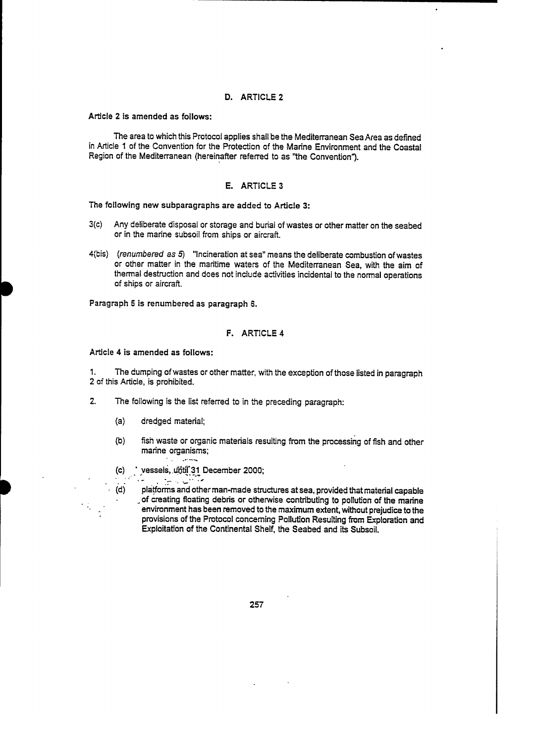### D. ARTICLE 2

Article 2 is amended as follows:

The area to which this Protocol applies shall be the Mediterranean SeaArea as defined in Article 1 of the Convention for the Protection of the Marine Environment and the Coastal Region of the Mediterranean (hereinafter referred to as "the Convention").

### E. ARTICLE 3

The following new subparagraphs are added to Article 3:

- 3(c) Any deliberate disposal or storage and burial of wastes er other matter on the seabed or in the marine subsoil from ships or aircraft.
- 4{bis) (renumbered as 5) "Incineration at sea" means the deliberate combustion ofwastes or other matter in the maritime waters of the Mediterranean Sea, with the aim of thermal destruction and does not include activities incidental to the normal operations of ships or aircraft.

Paragraph 5 is renumbered as paragraph 6.

### F. ARTICLE 4

Article 4 is amended as follows:

1. The dumping ofwastes or other matter, with the excsption ofthose listed in paragraph 2 cf this Article, is prohibited.

- 2. The following is the Iist referred to in the preceding paragraph:
	- (a) dredged material;

. . . .

- (b) fish waste or organic materials resulting from the processing of fish and other marine organisms;
- (c) vessels, until 31 December 2000;<br> **12 Percent 2000;**
- (d) platforms and other man-made structures at sea, provided that material capable of creating floating debris or otherwise contributing to pollution of the marine environment has been removed to the maximum extent, without prejudice to the provisions of the Protocol concerning Pollution Resulting from Exploration and Exploitation of the Continental Shelf, the Seabed and its Subsoil.

257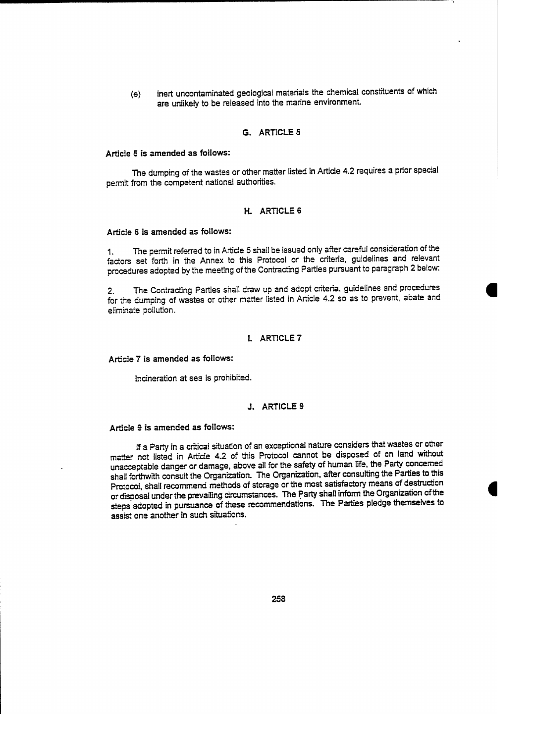(e) inert uncontaminated geological matenals the chemieal eonstituents of which are unlikely to be released into the marine environment.

## G. ARTlCLE 5

#### Artiele 5 is amended as follows:

The dumping of the wastes or other matter listed in Article 4.2 requires a prior special permit from the eompetent national authorities.

#### H. ARTICLE 6

#### Article 6 is amended as follows:

1. The permit referred to in Article 5 shall be issued only after careful consideration of the factors set forth in the Annex to this Protocol or the eriteria, guidelines and relevant procedures adopted by the meeting of the Contracting Parties pursuant to paragraph 2 below:

The Contracting Parties shall draw up and adopt criteria, guidelines and procedures for the dumping of wastes or other matter listed in Article 4.2 so as to prevent, abate and eliminate pollution.

#### l. ARTICLE 7

#### Article 7 is amended as follows:

lneineration at sea is prohibited.

### J. ARTICLE 9

#### Article 9 is amended as follows:

If a Party in a eritical situaticn of an exceptional nature considers that wastes or other matter not listed in Article 4.2 of this Protoeol cannet be disposed of on land without unacceptable danger or damage, aboye all for the safety of human life, the Party concemed shall forthwith consult the Organization. The Organization, after consulting the Parties to this Protocol, shall recommend methods of storage or the most satisfactory means of destruetion or disposal under the prevailing circumstances. The Party shall inform the Organization of the steps adopted in pursuance of these recommendations. The Parties pledge themselves te assist one another in such situations.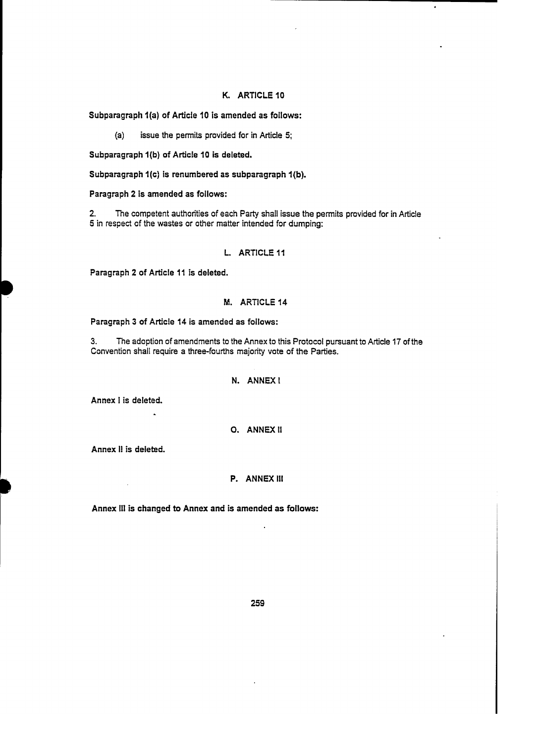### K. ARTlCLE 10

Subparagraph 1(a) of Article 10 is amended as follows:

(a) issue the permits provided for in Article 5;

Subparagraph 1(b) of Article 10 is deleted.

Subparagraph 1(e) is renumbered as subparagraph 1(b).

Paragraph 2 is amended as follows:

2. The competent authorities of each Party shall issue the permits provided for in Article 5 in respect of the wastes or other matter intended for dumping:

### L. ARTICLE 11

Paragraph 2 of Article 11 is deleted.

## M. ARTICLE 14

Paragraph 3 of Article 14 is amended as follows:

3. The adoption of amendments to the Annex to this Protocol pursuant to Article 17 of the Conveniion shall require a three-fourths majority vote of the Partíes.

### N. ANNEXI

Annex l is deleted.

# O. ANNEX <sup>11</sup>

Annex <sup>11</sup> is deleted.

### P. ANNEX III

Annex III is changed to Annex and is amended as follows: